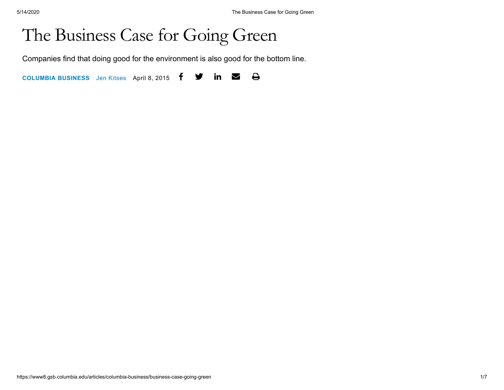# The Business Case for Going Green

Companies find that doing good for the environment is also good for the bottom line.

**[COLUMBIA](https://www8.gsb.columbia.edu/articles/columbia-business) BUSINESS** Jen [Kitses](https://www8.gsb.columbia.edu/articles/authors/jen-kitses) April 8, 2015 $\bigoplus$  $\mathbf y$  in  $\mathbf z$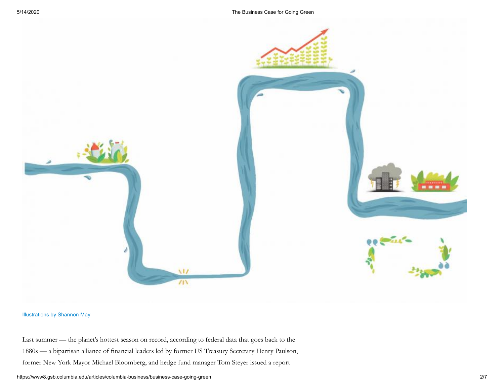

### [Illustrations](http://shannon-may.com/) by Shannon May

Last summer — the planet's hottest season on record, according to federal data that goes back to the 1880s — a bipartisan alliance of financial leaders led by former US Treasury Secretary Henry Paulson, former New York Mayor Michael Bloomberg, and hedge fund manager Tom Steyer issued a report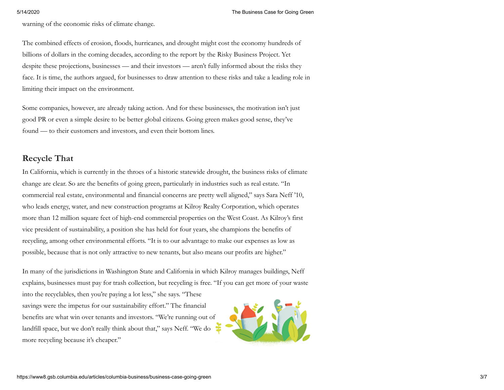warning of the economic risks of climate change.

The combined effects of erosion, floods, hurricanes, and drought might cost the economy hundreds of billions of dollars in the coming decades, according to the report by the Risky Business Project. Yet despite these projections, businesses — and their investors — aren't fully informed about the risks they face. It is time, the authors argued, for businesses to draw attention to these risks and take a leading role in limiting their impact on the environment.

Some companies, however, are already taking action. And for these businesses, the motivation isn't just good PR or even a simple desire to be better global citizens. Going green makes good sense, they've found — to their customers and investors, and even their bottom lines.

# **Recycle That**

In California, which is currently in the throes of a historic statewide drought, the business risks of climate change are clear. So are the benefits of going green, particularly in industries such as real estate. "In commercial real estate, environmental and financial concerns are pretty well aligned," says Sara Neff '10, who leads energy, water, and new construction programs at Kilroy Realty Corporation, which operates more than 12 million square feet of high-end commercial properties on the West Coast. As Kilroy's first vice president of sustainability, a position she has held for four years, she champions the benefits of recycling, among other environmental efforts. "It is to our advantage to make our expenses as low as possible, because that is not only attractive to new tenants, but also means our profits are higher."

In many of the jurisdictions in Washington State and California in which Kilroy manages buildings, Neff explains, businesses must pay for trash collection, but recycling is free. "If you can get more of your waste

into the recyclables, then you're paying a lot less," she says. "These savings were the impetus for our sustainability effort." The financial benefits are what win over tenants and investors. "We're running out of landfill space, but we don't really think about that," says Neff. "We do more recycling because it's cheaper."

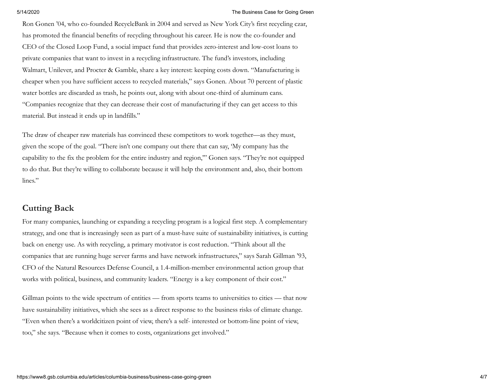### 5/14/2020 The Business Case for Going Green

Ron Gonen '04, who co-founded RecycleBank in 2004 and served as New York City's first recycling czar, has promoted the financial benefits of recycling throughout his career. He is now the co-founder and CEO of the Closed Loop Fund, a social impact fund that provides zero-interest and low-cost loans to private companies that want to invest in a recycling infrastructure. The fund's investors, including Walmart, Unilever, and Procter & Gamble, share a key interest: keeping costs down. "Manufacturing is cheaper when you have sufficient access to recycled materials," says Gonen. About 70 percent of plastic water bottles are discarded as trash, he points out, along with about one-third of aluminum cans. "Companies recognize that they can decrease their cost of manufacturing if they can get access to this material. But instead it ends up in landfills."

The draw of cheaper raw materials has convinced these competitors to work together—as they must, given the scope of the goal. "There isn't one company out there that can say, 'My company has the capability to the fix the problem for the entire industry and region,'" Gonen says. "They're not equipped to do that. But they're willing to collaborate because it will help the environment and, also, their bottom lines."

## **Cutting Back**

For many companies, launching or expanding a recycling program is a logical first step. A complementary strategy, and one that is increasingly seen as part of a must-have suite of sustainability initiatives, is cutting back on energy use. As with recycling, a primary motivator is cost reduction. "Think about all the companies that are running huge server farms and have network infrastructures," says Sarah Gillman '93, CFO of the Natural Resources Defense Council, a 1.4-million-member environmental action group that works with political, business, and community leaders. "Energy is a key component of their cost."

Gillman points to the wide spectrum of entities — from sports teams to universities to cities — that now have sustainability initiatives, which she sees as a direct response to the business risks of climate change. "Even when there's a worldcitizen point of view, there's a self- interested or bottom-line point of view, too," she says. "Because when it comes to costs, organizations get involved."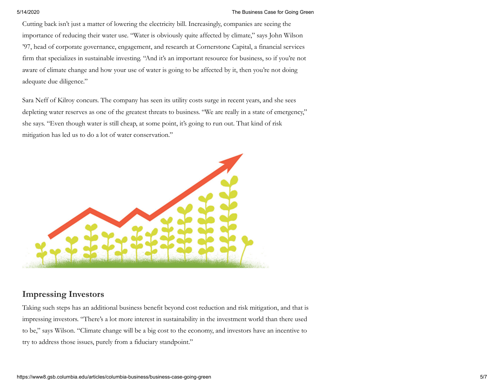### 5/14/2020 The Business Case for Going Green

Cutting back isn't just a matter of lowering the electricity bill. Increasingly, companies are seeing the importance of reducing their water use. "Water is obviously quite affected by climate," says John Wilson '97, head of corporate governance, engagement, and research at Cornerstone Capital, a financial services firm that specializes in sustainable investing. "And it's an important resource for business, so if you're not aware of climate change and how your use of water is going to be affected by it, then you're not doing adequate due diligence."

Sara Neff of Kilroy concurs. The company has seen its utility costs surge in recent years, and she sees depleting water reserves as one of the greatest threats to business. "We are really in a state of emergency," she says. "Even though water is still cheap, at some point, it's going to run out. That kind of risk mitigation has led us to do a lot of water conservation."



# **Impressing Investors**

Taking such steps has an additional business benefit beyond cost reduction and risk mitigation, and that is impressing investors. "There's a lot more interest in sustainability in the investment world than there used to be," says Wilson. "Climate change will be a big cost to the economy, and investors have an incentive to try to address those issues, purely from a fiduciary standpoint."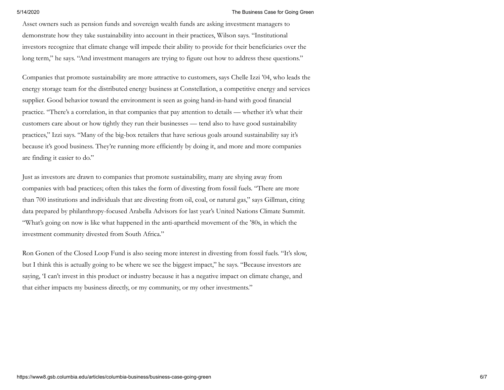### 5/14/2020 The Business Case for Going Green

Asset owners such as pension funds and sovereign wealth funds are asking investment managers to demonstrate how they take sustainability into account in their practices, Wilson says. "Institutional investors recognize that climate change will impede their ability to provide for their beneficiaries over the long term," he says. "And investment managers are trying to figure out how to address these questions."

Companies that promote sustainability are more attractive to customers, says Chelle Izzi '04, who leads the energy storage team for the distributed energy business at Constellation, a competitive energy and services supplier. Good behavior toward the environment is seen as going hand-in-hand with good financial practice. "There's a correlation, in that companies that pay attention to details — whether it's what their customers care about or how tightly they run their businesses — tend also to have good sustainability practices," Izzi says. "Many of the big-box retailers that have serious goals around sustainability say it's because it's good business. They're running more efficiently by doing it, and more and more companies are finding it easier to do."

Just as investors are drawn to companies that promote sustainability, many are shying away from companies with bad practices; often this takes the form of divesting from fossil fuels. "There are more than 700 institutions and individuals that are divesting from oil, coal, or natural gas," says Gillman, citing data prepared by philanthropy-focused Arabella Advisors for last year's United Nations Climate Summit. "What's going on now is like what happened in the anti-apartheid movement of the '80s, in which the investment community divested from South Africa."

Ron Gonen of the Closed Loop Fund is also seeing more interest in divesting from fossil fuels. "It's slow, but I think this is actually going to be where we see the biggest impact," he says. "Because investors are saying, 'I can't invest in this product or industry because it has a negative impact on climate change, and that either impacts my business directly, or my community, or my other investments."